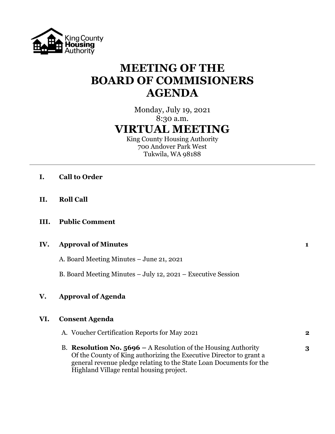

# **MEETING OF THE BOARD OF COMMISIONERS AGENDA**

Monday, July 19, 2021 8:30 a.m. **VIRTUAL MEETING**

King County Housing Authority 700 Andover Park West Tukwila, WA 98188

- **I. Call to Order**
- **II. Roll Call**
- **III. Public Comment**

## **IV. Approval of Minutes 1**

A. Board Meeting Minutes – June 21, 2021

B. Board Meeting Minutes – July 12, 2021 – Executive Session

## **V. Approval of Agenda**

## **VI. Consent Agenda**

| A. Voucher Certification Reports for May 2021                         | $\bf{2}$ |
|-----------------------------------------------------------------------|----------|
| B. <b>Resolution No. 5696 – A Resolution of the Housing Authority</b> | 3        |
| Of the County of King authorizing the Executive Director to grant a   |          |
| general revenue pledge relating to the State Loan Documents for the   |          |
| Highland Village rental housing project.                              |          |